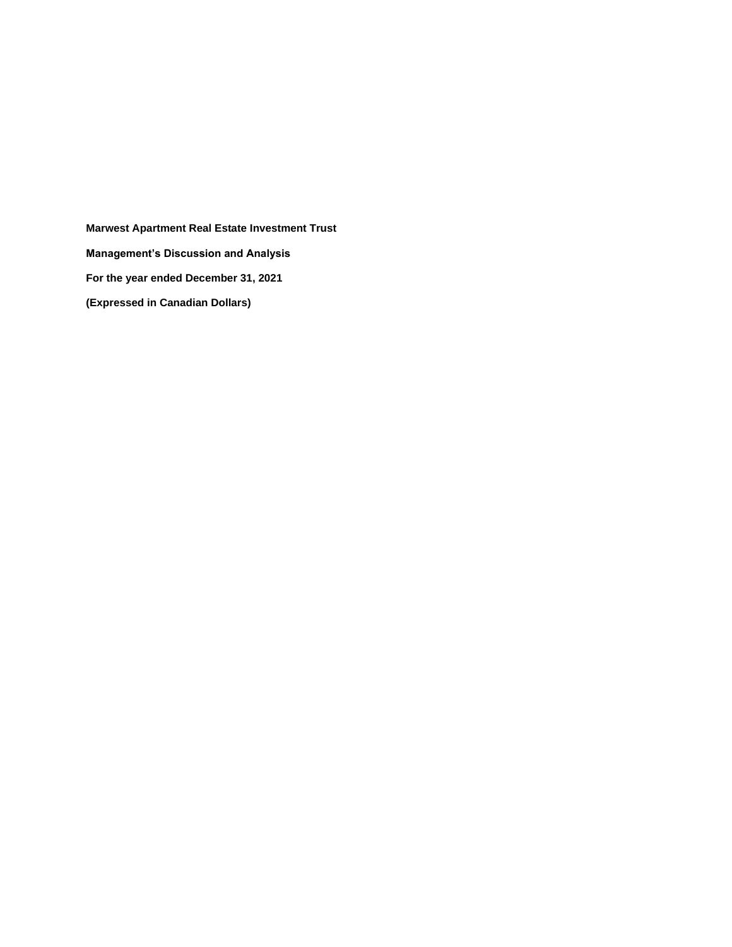**Marwest Apartment Real Estate Investment Trust Management's Discussion and Analysis For the year ended December 31, 2021 (Expressed in Canadian Dollars)**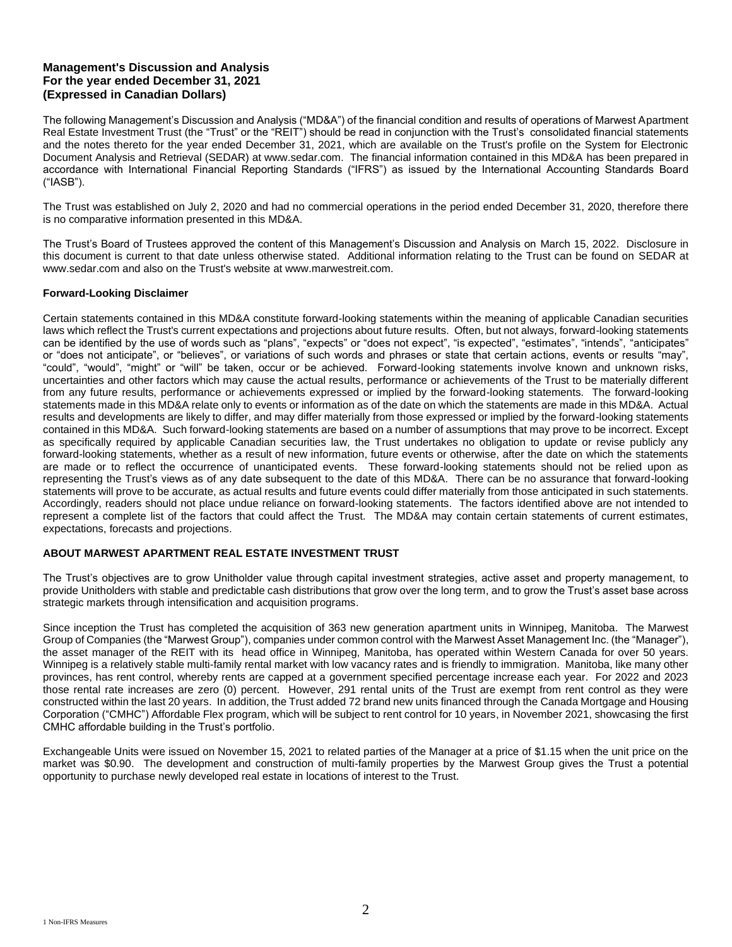The following Management's Discussion and Analysis ("MD&A") of the financial condition and results of operations of Marwest Apartment Real Estate Investment Trust (the "Trust" or the "REIT") should be read in conjunction with the Trust's consolidated financial statements and the notes thereto for the year ended December 31, 2021, which are available on the Trust's profile on the System for Electronic Document Analysis and Retrieval (SEDAR) at www.sedar.com. The financial information contained in this MD&A has been prepared in accordance with International Financial Reporting Standards ("IFRS") as issued by the International Accounting Standards Board ("IASB").

The Trust was established on July 2, 2020 and had no commercial operations in the period ended December 31, 2020, therefore there is no comparative information presented in this MD&A.

The Trust's Board of Trustees approved the content of this Management's Discussion and Analysis on March 15, 2022. Disclosure in this document is current to that date unless otherwise stated. Additional information relating to the Trust can be found on SEDAR at www.sedar.com and also on the Trust's website at www.marwestreit.com.

## **Forward-Looking Disclaimer**

Certain statements contained in this MD&A constitute forward-looking statements within the meaning of applicable Canadian securities laws which reflect the Trust's current expectations and projections about future results. Often, but not always, forward-looking statements can be identified by the use of words such as "plans", "expects" or "does not expect", "is expected", "estimates", "intends", "anticipates" or "does not anticipate", or "believes", or variations of such words and phrases or state that certain actions, events or results "may", "could", "would", "might" or "will" be taken, occur or be achieved. Forward-looking statements involve known and unknown risks, uncertainties and other factors which may cause the actual results, performance or achievements of the Trust to be materially different from any future results, performance or achievements expressed or implied by the forward-looking statements. The forward-looking statements made in this MD&A relate only to events or information as of the date on which the statements are made in this MD&A. Actual results and developments are likely to differ, and may differ materially from those expressed or implied by the forward-looking statements contained in this MD&A. Such forward-looking statements are based on a number of assumptions that may prove to be incorrect. Except as specifically required by applicable Canadian securities law, the Trust undertakes no obligation to update or revise publicly any forward-looking statements, whether as a result of new information, future events or otherwise, after the date on which the statements are made or to reflect the occurrence of unanticipated events. These forward-looking statements should not be relied upon as representing the Trust's views as of any date subsequent to the date of this MD&A. There can be no assurance that forward-looking statements will prove to be accurate, as actual results and future events could differ materially from those anticipated in such statements. Accordingly, readers should not place undue reliance on forward-looking statements. The factors identified above are not intended to represent a complete list of the factors that could affect the Trust. The MD&A may contain certain statements of current estimates, expectations, forecasts and projections.

# **ABOUT MARWEST APARTMENT REAL ESTATE INVESTMENT TRUST**

The Trust's objectives are to grow Unitholder value through capital investment strategies, active asset and property management, to provide Unitholders with stable and predictable cash distributions that grow over the long term, and to grow the Trust's asset base across strategic markets through intensification and acquisition programs.

Since inception the Trust has completed the acquisition of 363 new generation apartment units in Winnipeg, Manitoba. The Marwest Group of Companies (the "Marwest Group"), companies under common control with the Marwest Asset Management Inc. (the "Manager"), the asset manager of the REIT with its head office in Winnipeg, Manitoba, has operated within Western Canada for over 50 years. Winnipeg is a relatively stable multi-family rental market with low vacancy rates and is friendly to immigration. Manitoba, like many other provinces, has rent control, whereby rents are capped at a government specified percentage increase each year. For 2022 and 2023 those rental rate increases are zero (0) percent. However, 291 rental units of the Trust are exempt from rent control as they were constructed within the last 20 years. In addition, the Trust added 72 brand new units financed through the Canada Mortgage and Housing Corporation ("CMHC") Affordable Flex program, which will be subject to rent control for 10 years, in November 2021, showcasing the first CMHC affordable building in the Trust's portfolio.

Exchangeable Units were issued on November 15, 2021 to related parties of the Manager at a price of \$1.15 when the unit price on the market was \$0.90. The development and construction of multi-family properties by the Marwest Group gives the Trust a potential opportunity to purchase newly developed real estate in locations of interest to the Trust.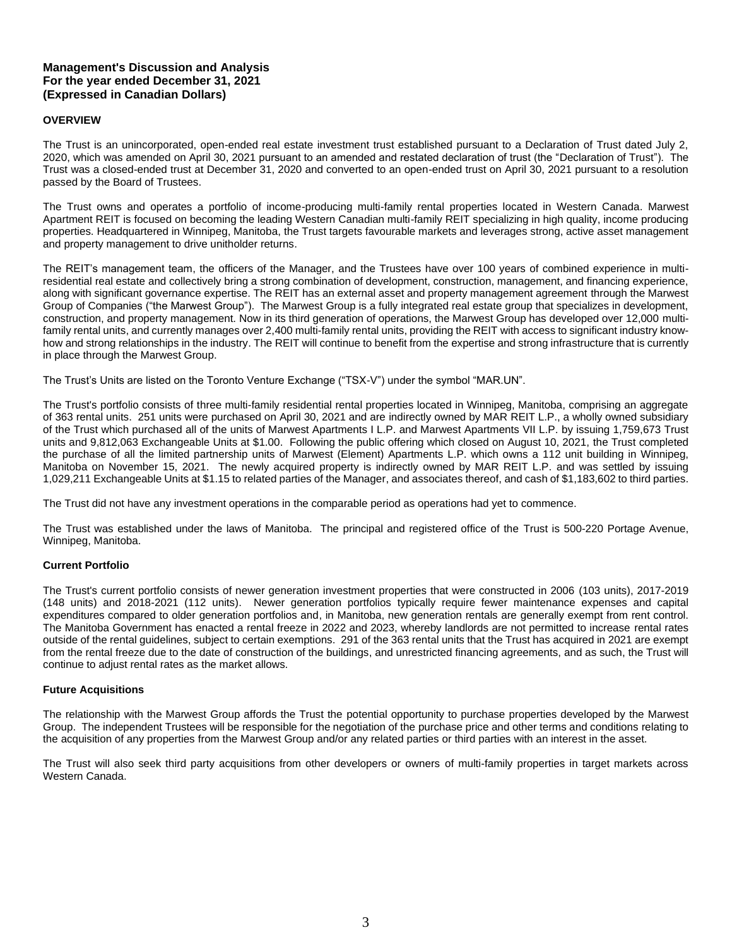## **OVERVIEW**

The Trust is an unincorporated, open-ended real estate investment trust established pursuant to a Declaration of Trust dated July 2, 2020, which was amended on April 30, 2021 pursuant to an amended and restated declaration of trust (the "Declaration of Trust"). The Trust was a closed-ended trust at December 31, 2020 and converted to an open-ended trust on April 30, 2021 pursuant to a resolution passed by the Board of Trustees.

The Trust owns and operates a portfolio of income-producing multi-family rental properties located in Western Canada. Marwest Apartment REIT is focused on becoming the leading Western Canadian multi-family REIT specializing in high quality, income producing properties. Headquartered in Winnipeg, Manitoba, the Trust targets favourable markets and leverages strong, active asset management and property management to drive unitholder returns.

The REIT's management team, the officers of the Manager, and the Trustees have over 100 years of combined experience in multiresidential real estate and collectively bring a strong combination of development, construction, management, and financing experience, along with significant governance expertise. The REIT has an external asset and property management agreement through the Marwest Group of Companies ("the Marwest Group"). The Marwest Group is a fully integrated real estate group that specializes in development, construction, and property management. Now in its third generation of operations, the Marwest Group has developed over 12,000 multifamily rental units, and currently manages over 2,400 multi-family rental units, providing the REIT with access to significant industry knowhow and strong relationships in the industry. The REIT will continue to benefit from the expertise and strong infrastructure that is currently in place through the Marwest Group.

The Trust's Units are listed on the Toronto Venture Exchange ("TSX-V") under the symbol "MAR.UN".

The Trust's portfolio consists of three multi-family residential rental properties located in Winnipeg, Manitoba, comprising an aggregate of 363 rental units. 251 units were purchased on April 30, 2021 and are indirectly owned by MAR REIT L.P., a wholly owned subsidiary of the Trust which purchased all of the units of Marwest Apartments I L.P. and Marwest Apartments VII L.P. by issuing 1,759,673 Trust units and 9,812,063 Exchangeable Units at \$1.00. Following the public offering which closed on August 10, 2021, the Trust completed the purchase of all the limited partnership units of Marwest (Element) Apartments L.P. which owns a 112 unit building in Winnipeg, Manitoba on November 15, 2021. The newly acquired property is indirectly owned by MAR REIT L.P. and was settled by issuing 1,029,211 Exchangeable Units at \$1.15 to related parties of the Manager, and associates thereof, and cash of \$1,183,602 to third parties.

The Trust did not have any investment operations in the comparable period as operations had yet to commence.

The Trust was established under the laws of Manitoba. The principal and registered office of the Trust is 500-220 Portage Avenue, Winnipeg, Manitoba.

### **Current Portfolio**

The Trust's current portfolio consists of newer generation investment properties that were constructed in 2006 (103 units), 2017-2019 (148 units) and 2018-2021 (112 units). Newer generation portfolios typically require fewer maintenance expenses and capital expenditures compared to older generation portfolios and, in Manitoba, new generation rentals are generally exempt from rent control. The Manitoba Government has enacted a rental freeze in 2022 and 2023, whereby landlords are not permitted to increase rental rates outside of the rental guidelines, subject to certain exemptions. 291 of the 363 rental units that the Trust has acquired in 2021 are exempt from the rental freeze due to the date of construction of the buildings, and unrestricted financing agreements, and as such, the Trust will continue to adjust rental rates as the market allows.

### **Future Acquisitions**

The relationship with the Marwest Group affords the Trust the potential opportunity to purchase properties developed by the Marwest Group. The independent Trustees will be responsible for the negotiation of the purchase price and other terms and conditions relating to the acquisition of any properties from the Marwest Group and/or any related parties or third parties with an interest in the asset.

The Trust will also seek third party acquisitions from other developers or owners of multi-family properties in target markets across Western Canada.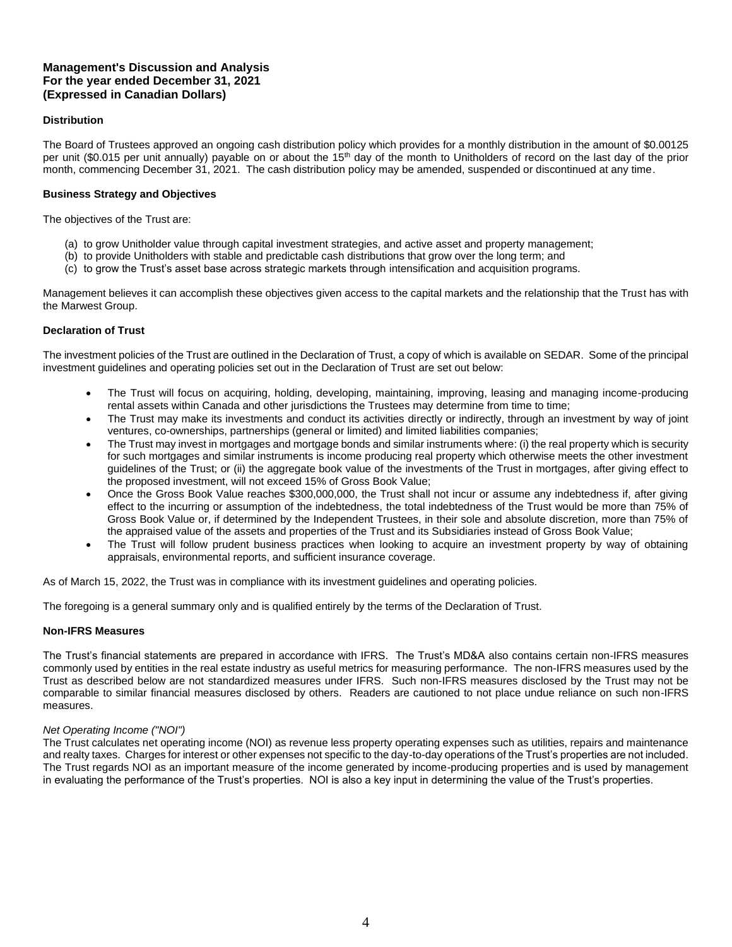## **Distribution**

The Board of Trustees approved an ongoing cash distribution policy which provides for a monthly distribution in the amount of \$0.00125 per unit (\$0.015 per unit annually) payable on or about the 15<sup>th</sup> day of the month to Unitholders of record on the last day of the prior month, commencing December 31, 2021. The cash distribution policy may be amended, suspended or discontinued at any time.

## **Business Strategy and Objectives**

The objectives of the Trust are:

- (a) to grow Unitholder value through capital investment strategies, and active asset and property management;
- (b) to provide Unitholders with stable and predictable cash distributions that grow over the long term; and
- (c) to grow the Trust's asset base across strategic markets through intensification and acquisition programs.

Management believes it can accomplish these objectives given access to the capital markets and the relationship that the Trust has with the Marwest Group.

## **Declaration of Trust**

The investment policies of the Trust are outlined in the Declaration of Trust, a copy of which is available on SEDAR. Some of the principal investment guidelines and operating policies set out in the Declaration of Trust are set out below:

- The Trust will focus on acquiring, holding, developing, maintaining, improving, leasing and managing income-producing rental assets within Canada and other jurisdictions the Trustees may determine from time to time;
- The Trust may make its investments and conduct its activities directly or indirectly, through an investment by way of joint ventures, co-ownerships, partnerships (general or limited) and limited liabilities companies;
- The Trust may invest in mortgages and mortgage bonds and similar instruments where: (i) the real property which is security for such mortgages and similar instruments is income producing real property which otherwise meets the other investment guidelines of the Trust; or (ii) the aggregate book value of the investments of the Trust in mortgages, after giving effect to the proposed investment, will not exceed 15% of Gross Book Value;
- Once the Gross Book Value reaches \$300,000,000, the Trust shall not incur or assume any indebtedness if, after giving effect to the incurring or assumption of the indebtedness, the total indebtedness of the Trust would be more than 75% of Gross Book Value or, if determined by the Independent Trustees, in their sole and absolute discretion, more than 75% of the appraised value of the assets and properties of the Trust and its Subsidiaries instead of Gross Book Value;
- The Trust will follow prudent business practices when looking to acquire an investment property by way of obtaining appraisals, environmental reports, and sufficient insurance coverage.

As of March 15, 2022, the Trust was in compliance with its investment guidelines and operating policies.

The foregoing is a general summary only and is qualified entirely by the terms of the Declaration of Trust.

### **Non-IFRS Measures**

The Trust's financial statements are prepared in accordance with IFRS. The Trust's MD&A also contains certain non-IFRS measures commonly used by entities in the real estate industry as useful metrics for measuring performance. The non-IFRS measures used by the Trust as described below are not standardized measures under IFRS. Such non-IFRS measures disclosed by the Trust may not be comparable to similar financial measures disclosed by others. Readers are cautioned to not place undue reliance on such non-IFRS measures.

### *Net Operating Income ("NOI")*

The Trust calculates net operating income (NOI) as revenue less property operating expenses such as utilities, repairs and maintenance and realty taxes. Charges for interest or other expenses not specific to the day-to-day operations of the Trust's properties are not included. The Trust regards NOI as an important measure of the income generated by income-producing properties and is used by management in evaluating the performance of the Trust's properties. NOI is also a key input in determining the value of the Trust's properties.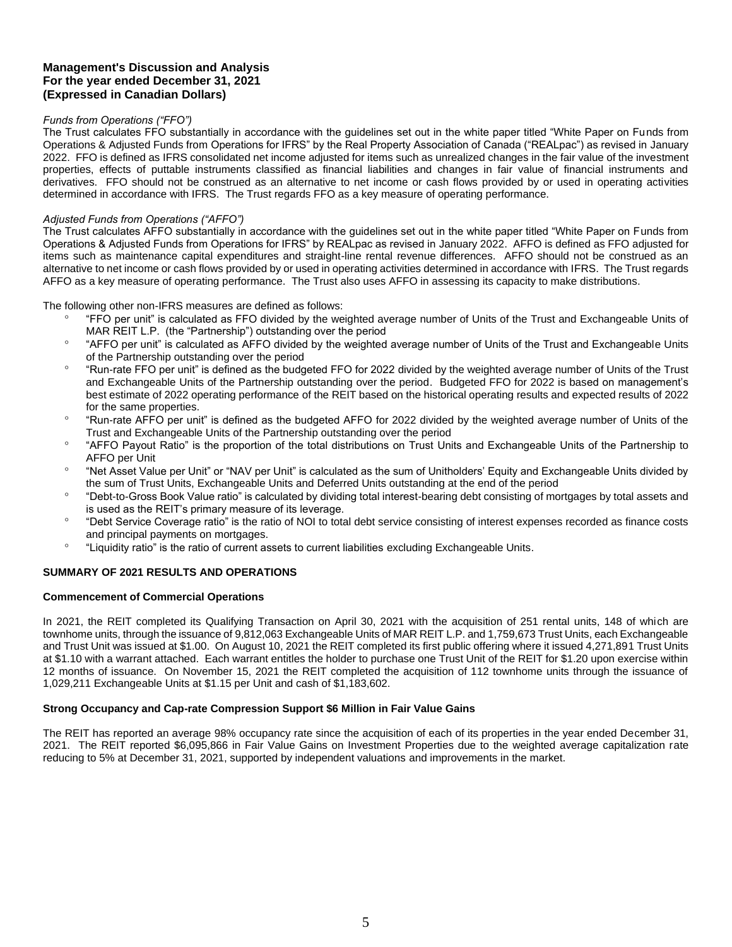## *Funds from Operations ("FFO")*

The Trust calculates FFO substantially in accordance with the guidelines set out in the white paper titled "White Paper on Funds from Operations & Adjusted Funds from Operations for IFRS" by the Real Property Association of Canada ("REALpac") as revised in January 2022. FFO is defined as IFRS consolidated net income adjusted for items such as unrealized changes in the fair value of the investment properties, effects of puttable instruments classified as financial liabilities and changes in fair value of financial instruments and derivatives. FFO should not be construed as an alternative to net income or cash flows provided by or used in operating activities determined in accordance with IFRS. The Trust regards FFO as a key measure of operating performance.

### *Adjusted Funds from Operations ("AFFO")*

The Trust calculates AFFO substantially in accordance with the guidelines set out in the white paper titled "White Paper on Funds from Operations & Adjusted Funds from Operations for IFRS" by REALpac as revised in January 2022. AFFO is defined as FFO adjusted for items such as maintenance capital expenditures and straight-line rental revenue differences. AFFO should not be construed as an alternative to net income or cash flows provided by or used in operating activities determined in accordance with IFRS. The Trust regards AFFO as a key measure of operating performance. The Trust also uses AFFO in assessing its capacity to make distributions.

The following other non-IFRS measures are defined as follows:

- <sup>o</sup> "FFO per unit" is calculated as FFO divided by the weighted average number of Units of the Trust and Exchangeable Units of MAR REIT L.P. (the "Partnership") outstanding over the period
- <sup>o</sup> "AFFO per unit" is calculated as AFFO divided by the weighted average number of Units of the Trust and Exchangeable Units of the Partnership outstanding over the period
- <sup>o</sup> "Run-rate FFO per unit" is defined as the budgeted FFO for 2022 divided by the weighted average number of Units of the Trust and Exchangeable Units of the Partnership outstanding over the period. Budgeted FFO for 2022 is based on management's best estimate of 2022 operating performance of the REIT based on the historical operating results and expected results of 2022 for the same properties.
- <sup>o</sup> "Run-rate AFFO per unit" is defined as the budgeted AFFO for 2022 divided by the weighted average number of Units of the Trust and Exchangeable Units of the Partnership outstanding over the period
- <sup>o</sup> "AFFO Payout Ratio" is the proportion of the total distributions on Trust Units and Exchangeable Units of the Partnership to AFFO per Unit
- <sup>o</sup> "Net Asset Value per Unit" or "NAV per Unit" is calculated as the sum of Unitholders' Equity and Exchangeable Units divided by the sum of Trust Units, Exchangeable Units and Deferred Units outstanding at the end of the period
- <sup>o</sup> "Debt-to-Gross Book Value ratio" is calculated by dividing total interest-bearing debt consisting of mortgages by total assets and is used as the REIT's primary measure of its leverage.
- <sup>o</sup> "Debt Service Coverage ratio" is the ratio of NOI to total debt service consisting of interest expenses recorded as finance costs and principal payments on mortgages.
- "Liquidity ratio" is the ratio of current assets to current liabilities excluding Exchangeable Units.

# **SUMMARY OF 2021 RESULTS AND OPERATIONS**

### **Commencement of Commercial Operations**

In 2021, the REIT completed its Qualifying Transaction on April 30, 2021 with the acquisition of 251 rental units, 148 of which are townhome units, through the issuance of 9,812,063 Exchangeable Units of MAR REIT L.P. and 1,759,673 Trust Units, each Exchangeable and Trust Unit was issued at \$1.00. On August 10, 2021 the REIT completed its first public offering where it issued 4,271,891 Trust Units at \$1.10 with a warrant attached. Each warrant entitles the holder to purchase one Trust Unit of the REIT for \$1.20 upon exercise within 12 months of issuance. On November 15, 2021 the REIT completed the acquisition of 112 townhome units through the issuance of 1,029,211 Exchangeable Units at \$1.15 per Unit and cash of \$1,183,602.

### **Strong Occupancy and Cap-rate Compression Support \$6 Million in Fair Value Gains**

The REIT has reported an average 98% occupancy rate since the acquisition of each of its properties in the year ended December 31, 2021. The REIT reported \$6,095,866 in Fair Value Gains on Investment Properties due to the weighted average capitalization rate reducing to 5% at December 31, 2021, supported by independent valuations and improvements in the market.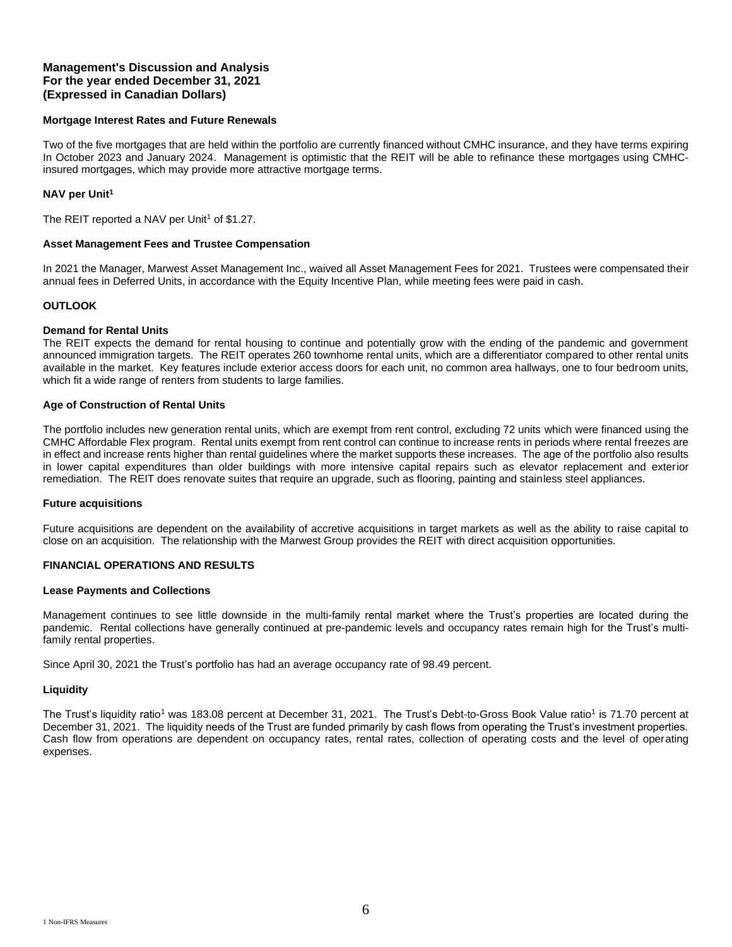#### **Mortgage Interest Rates and Future Renewals**

Two of the five mortgages that are held within the portfolio are currently financed without CMHC insurance, and they have terms expiring In October 2023 and January 2024. Management is optimistic that the REIT will be able to refinance these mortgages using CMHCinsured mortgages, which may provide more attractive mortgage terms.

#### **NAV per Unit<sup>1</sup>**

The REIT reported a NAV per Unit<sup>1</sup> of \$1.27.

#### **Asset Management Fees and Trustee Compensation**

In 2021 the Manager, Marwest Asset Management Inc., waived all Asset Management Fees for 2021. Trustees were compensated their annual fees in Deferred Units, in accordance with the Equity Incentive Plan, while meeting fees were paid in cash.

### **OUTLOOK**

#### **Demand for Rental Units**

The REIT expects the demand for rental housing to continue and potentially grow with the ending of the pandemic and government announced immigration targets. The REIT operates 260 townhome rental units, which are a differentiator compared to other rental units available in the market. Key features include exterior access doors for each unit, no common area hallways, one to four bedroom units, which fit a wide range of renters from students to large families.

#### **Age of Construction of Rental Units**

The portfolio includes new generation rental units, which are exempt from rent control, excluding 72 units which were financed using the CMHC Affordable Flex program. Rental units exempt from rent control can continue to increase rents in periods where rental freezes are in effect and increase rents higher than rental guidelines where the market supports these increases. The age of the portfolio also results in lower capital expenditures than older buildings with more intensive capital repairs such as elevator replacement and exterior remediation. The REIT does renovate suites that require an upgrade, such as flooring, painting and stainless steel appliances.

#### **Future acquisitions**

Future acquisitions are dependent on the availability of accretive acquisitions in target markets as well as the ability to raise capital to close on an acquisition. The relationship with the Marwest Group provides the REIT with direct acquisition opportunities.

### **FINANCIAL OPERATIONS AND RESULTS**

#### **Lease Payments and Collections**

Management continues to see little downside in the multi-family rental market where the Trust's properties are located during the pandemic. Rental collections have generally continued at pre-pandemic levels and occupancy rates remain high for the Trust's multifamily rental properties.

Since April 30, 2021 the Trust's portfolio has had an average occupancy rate of 98.49 percent.

#### **Liquidity**

The Trust's liquidity ratio<sup>1</sup> was 183.08 percent at December 31, 2021. The Trust's Debt-to-Gross Book Value ratio<sup>1</sup> is 71.70 percent at December 31, 2021. The liquidity needs of the Trust are funded primarily by cash flows from operating the Trust's investment properties. Cash flow from operations are dependent on occupancy rates, rental rates, collection of operating costs and the level of operating expenses.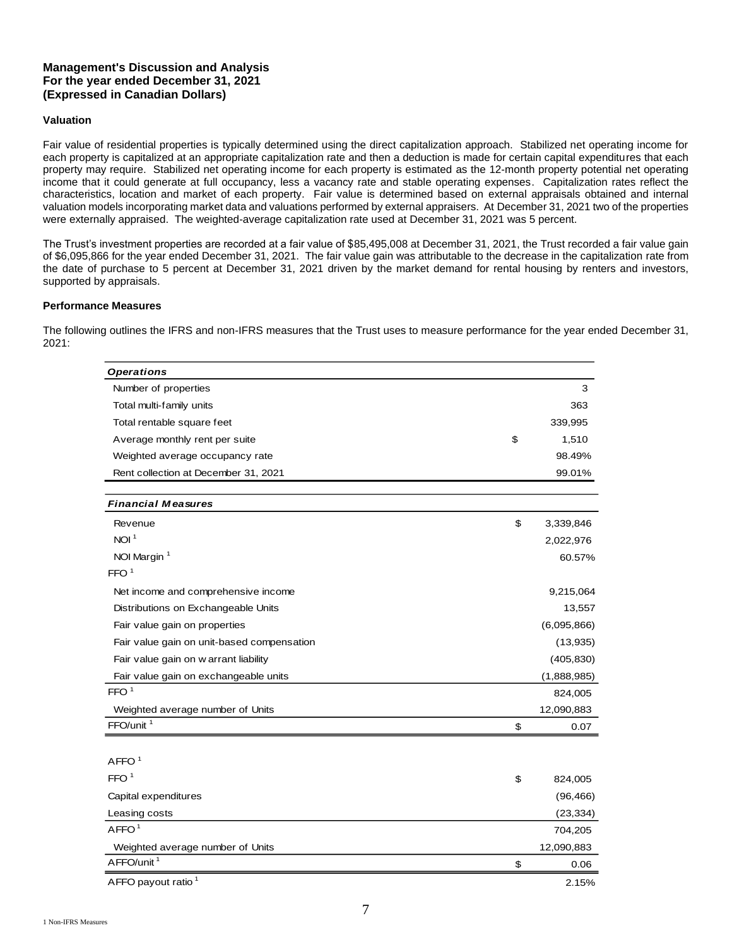### **Valuation**

Fair value of residential properties is typically determined using the direct capitalization approach. Stabilized net operating income for each property is capitalized at an appropriate capitalization rate and then a deduction is made for certain capital expenditures that each property may require. Stabilized net operating income for each property is estimated as the 12-month property potential net operating income that it could generate at full occupancy, less a vacancy rate and stable operating expenses. Capitalization rates reflect the characteristics, location and market of each property. Fair value is determined based on external appraisals obtained and internal valuation models incorporating market data and valuations performed by external appraisers. At December 31, 2021 two of the properties were externally appraised. The weighted-average capitalization rate used at December 31, 2021 was 5 percent.

The Trust's investment properties are recorded at a fair value of \$85,495,008 at December 31, 2021, the Trust recorded a fair value gain of \$6,095,866 for the year ended December 31, 2021. The fair value gain was attributable to the decrease in the capitalization rate from the date of purchase to 5 percent at December 31, 2021 driven by the market demand for rental housing by renters and investors, supported by appraisals.

### **Performance Measures**

The following outlines the IFRS and non-IFRS measures that the Trust uses to measure performance for the year ended December 31, 2021:

> $\overline{\phantom{0}}$  $\overline{\phantom{a}}$

> $\overline{\phantom{a}}$

 $\overline{a}$ 

| <b>Operations</b>                          |                 |
|--------------------------------------------|-----------------|
| Number of properties                       | 3               |
| Total multi-family units                   | 363             |
| Total rentable square feet                 | 339,995         |
| Average monthly rent per suite             | \$<br>1,510     |
| Weighted average occupancy rate            | 98.49%          |
| Rent collection at December 31, 2021       | 99.01%          |
|                                            |                 |
| <b>Financial Measures</b>                  |                 |
| Revenue                                    | \$<br>3,339,846 |
| NOI <sup>1</sup>                           | 2,022,976       |
| NOI Margin <sup>1</sup>                    | 60.57%          |
| FFO <sup>1</sup>                           |                 |
| Net income and comprehensive income        | 9,215,064       |
| Distributions on Exchangeable Units        | 13,557          |
| Fair value gain on properties              | (6,095,866)     |
| Fair value gain on unit-based compensation | (13, 935)       |
| Fair value gain on w arrant liability      | (405, 830)      |
| Fair value gain on exchangeable units      | (1,888,985)     |
| FFO <sup>1</sup>                           | 824,005         |
| Weighted average number of Units           | 12,090,883      |
| FFO/unit <sup>1</sup>                      | \$<br>0.07      |
|                                            |                 |
| AFFO <sup>1</sup>                          |                 |
| FFO <sup>1</sup>                           | \$<br>824,005   |
| Capital expenditures                       | (96, 466)       |
| Leasing costs                              | (23, 334)       |
| AFFO <sup>1</sup>                          | 704,205         |
| Weighted average number of Units           | 12,090,883      |
| AFFO/unit <sup>1</sup>                     | \$<br>0.06      |
| AFFO payout ratio <sup>1</sup>             | 2.15%           |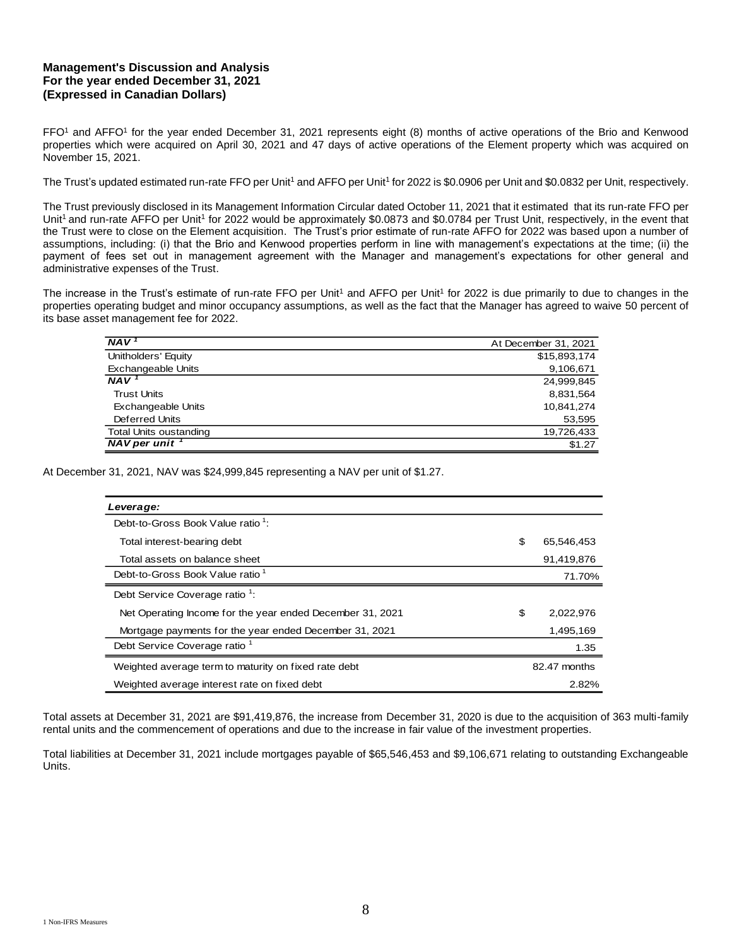FFO<sup>1</sup> and AFFO<sup>1</sup> for the year ended December 31, 2021 represents eight (8) months of active operations of the Brio and Kenwood properties which were acquired on April 30, 2021 and 47 days of active operations of the Element property which was acquired on November 15, 2021.

The Trust's updated estimated run-rate FFO per Unit<sup>1</sup> and AFFO per Unit<sup>1</sup> for 2022 is \$0.0906 per Unit and \$0.0832 per Unit, respectively.

The Trust previously disclosed in its Management Information Circular dated October 11, 2021 that it estimated that its run-rate FFO per Unit<sup>1</sup> and run-rate AFFO per Unit<sup>1</sup> for 2022 would be approximately \$0.0873 and \$0.0784 per Trust Unit, respectively, in the event that the Trust were to close on the Element acquisition. The Trust's prior estimate of run-rate AFFO for 2022 was based upon a number of assumptions, including: (i) that the Brio and Kenwood properties perform in line with management's expectations at the time; (ii) the payment of fees set out in management agreement with the Manager and management's expectations for other general and administrative expenses of the Trust.

The increase in the Trust's estimate of run-rate FFO per Unit<sup>1</sup> and AFFO per Unit<sup>1</sup> for 2022 is due primarily to due to changes in the properties operating budget and minor occupancy assumptions, as well as the fact that the Manager has agreed to waive 50 percent of its base asset management fee for 2022.

| <b>NAV</b>                    | At December 31, 2021 |
|-------------------------------|----------------------|
| Unitholders' Equity           | \$15,893,174         |
| <b>Exchangeable Units</b>     | 9,106,671            |
| <b>NAV</b>                    | 24,999,845           |
| <b>Trust Units</b>            | 8,831,564            |
| Exchangeable Units            | 10,841,274           |
| Deferred Units                | 53,595               |
| <b>Total Units oustanding</b> | 19,726,433           |
| $NAV$ per unit $\overline{V}$ | \$1.27               |

At December 31, 2021, NAV was \$24,999,845 representing a NAV per unit of \$1.27.

| Leverage:                                                 |                  |
|-----------------------------------------------------------|------------------|
| Debt-to-Gross Book Value ratio <sup>1</sup> :             |                  |
| Total interest-bearing debt                               | \$<br>65,546,453 |
| Total assets on balance sheet                             | 91,419,876       |
| Debt-to-Gross Book Value ratio <sup>1</sup>               | 71.70%           |
| Debt Service Coverage ratio <sup>1</sup> :                |                  |
| Net Operating Income for the year ended December 31, 2021 | \$<br>2,022,976  |
| Mortgage payments for the year ended December 31, 2021    | 1,495,169        |
| Debt Service Coverage ratio <sup>1</sup>                  | 1.35             |
| Weighted average term to maturity on fixed rate debt      | 82.47 months     |
| Weighted average interest rate on fixed debt              | 2.82%            |

Total assets at December 31, 2021 are \$91,419,876, the increase from December 31, 2020 is due to the acquisition of 363 multi-family rental units and the commencement of operations and due to the increase in fair value of the investment properties.

Total liabilities at December 31, 2021 include mortgages payable of \$65,546,453 and \$9,106,671 relating to outstanding Exchangeable Units.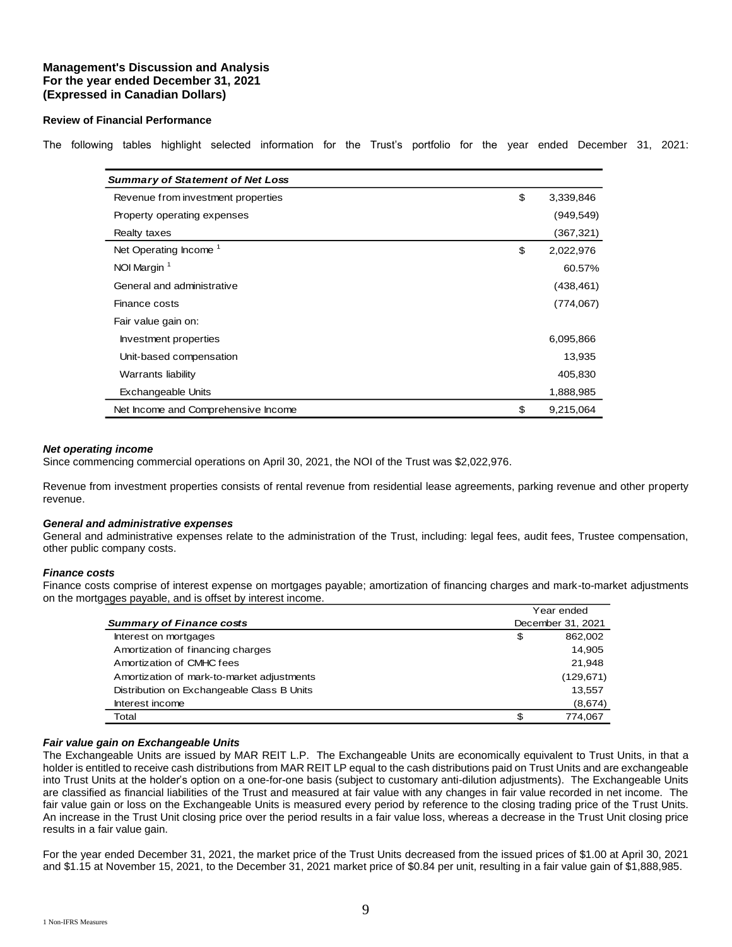### **Review of Financial Performance**

The following tables highlight selected information for the Trust's portfolio for the year ended December 31, 2021:

| <b>Summary of Statement of Net Loss</b> |                 |
|-----------------------------------------|-----------------|
| Revenue from investment properties      | \$<br>3,339,846 |
| Property operating expenses             | (949,549)       |
| Realty taxes                            | (367, 321)      |
| Net Operating Income <sup>1</sup>       | \$<br>2,022,976 |
| NOI Margin <sup>1</sup>                 | 60.57%          |
| General and administrative              | (438, 461)      |
| Finance costs                           | (774, 067)      |
| Fair value gain on:                     |                 |
| Investment properties                   | 6,095,866       |
| Unit-based compensation                 | 13,935          |
| <b>Warrants liability</b>               | 405,830         |
| <b>Exchangeable Units</b>               | 1,888,985       |
| Net Income and Comprehensive Income     | \$<br>9,215,064 |

#### *Net operating income*

Since commencing commercial operations on April 30, 2021, the NOI of the Trust was \$2,022,976.

Revenue from investment properties consists of rental revenue from residential lease agreements, parking revenue and other property revenue.

#### *General and administrative expenses*

General and administrative expenses relate to the administration of the Trust, including: legal fees, audit fees, Trustee compensation, other public company costs.

#### *Finance costs*

Finance costs comprise of interest expense on mortgages payable; amortization of financing charges and mark-to-market adjustments on the mortgages payable, and is offset by interest income.

|                                            | Year ended        |
|--------------------------------------------|-------------------|
| <b>Summary of Finance costs</b>            | December 31, 2021 |
| Interest on mortgages                      | \$<br>862,002     |
| Amortization of financing charges          | 14.905            |
| Amortization of CMHC fees                  | 21.948            |
| Amortization of mark-to-market adjustments | (129, 671)        |
| Distribution on Exchangeable Class B Units | 13,557            |
| Interest income                            | (8,674)           |
| Total                                      | 774.067           |

### *Fair value gain on Exchangeable Units*

The Exchangeable Units are issued by MAR REIT L.P. The Exchangeable Units are economically equivalent to Trust Units, in that a holder is entitled to receive cash distributions from MAR REIT LP equal to the cash distributions paid on Trust Units and are exchangeable into Trust Units at the holder's option on a one-for-one basis (subject to customary anti-dilution adjustments). The Exchangeable Units are classified as financial liabilities of the Trust and measured at fair value with any changes in fair value recorded in net income. The fair value gain or loss on the Exchangeable Units is measured every period by reference to the closing trading price of the Trust Units. An increase in the Trust Unit closing price over the period results in a fair value loss, whereas a decrease in the Trust Unit closing price results in a fair value gain.

For the year ended December 31, 2021, the market price of the Trust Units decreased from the issued prices of \$1.00 at April 30, 2021 and \$1.15 at November 15, 2021, to the December 31, 2021 market price of \$0.84 per unit, resulting in a fair value gain of \$1,888,985.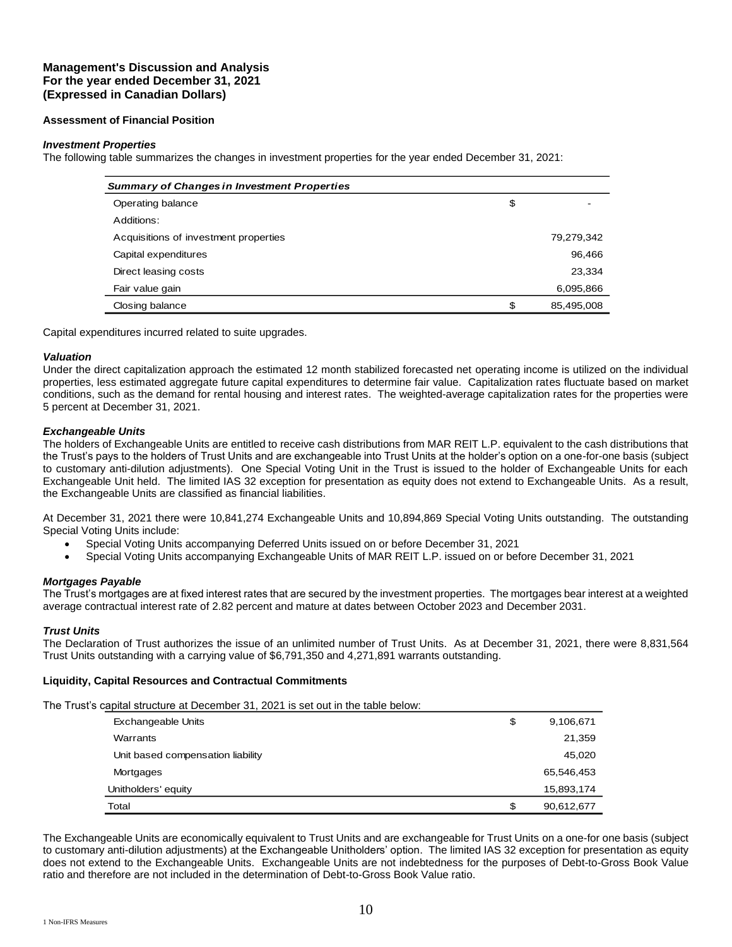### **Assessment of Financial Position**

### *Investment Properties*

The following table summarizes the changes in investment properties for the year ended December 31, 2021:

| <b>Summary of Changes in Investment Properties</b> |    |            |  |  |  |  |  |
|----------------------------------------------------|----|------------|--|--|--|--|--|
| Operating balance                                  | \$ |            |  |  |  |  |  |
| Additions:                                         |    |            |  |  |  |  |  |
| Acquisitions of investment properties              |    | 79,279,342 |  |  |  |  |  |
| Capital expenditures                               |    | 96,466     |  |  |  |  |  |
| Direct leasing costs                               |    | 23,334     |  |  |  |  |  |
| Fair value gain                                    |    | 6,095,866  |  |  |  |  |  |
| Closing balance                                    | \$ | 85,495,008 |  |  |  |  |  |

Capital expenditures incurred related to suite upgrades.

#### *Valuation*

Under the direct capitalization approach the estimated 12 month stabilized forecasted net operating income is utilized on the individual properties, less estimated aggregate future capital expenditures to determine fair value. Capitalization rates fluctuate based on market conditions, such as the demand for rental housing and interest rates. The weighted-average capitalization rates for the properties were 5 percent at December 31, 2021.

### *Exchangeable Units*

The holders of Exchangeable Units are entitled to receive cash distributions from MAR REIT L.P. equivalent to the cash distributions that the Trust's pays to the holders of Trust Units and are exchangeable into Trust Units at the holder's option on a one-for-one basis (subject to customary anti-dilution adjustments). One Special Voting Unit in the Trust is issued to the holder of Exchangeable Units for each Exchangeable Unit held. The limited IAS 32 exception for presentation as equity does not extend to Exchangeable Units. As a result, the Exchangeable Units are classified as financial liabilities.

At December 31, 2021 there were 10,841,274 Exchangeable Units and 10,894,869 Special Voting Units outstanding. The outstanding Special Voting Units include:

- Special Voting Units accompanying Deferred Units issued on or before December 31, 2021
- Special Voting Units accompanying Exchangeable Units of MAR REIT L.P. issued on or before December 31, 2021

### *Mortgages Payable*

The Trust's mortgages are at fixed interest rates that are secured by the investment properties. The mortgages bear interest at a weighted average contractual interest rate of 2.82 percent and mature at dates between October 2023 and December 2031.

### *Trust Units*

The Declaration of Trust authorizes the issue of an unlimited number of Trust Units. As at December 31, 2021, there were 8,831,564 Trust Units outstanding with a carrying value of \$6,791,350 and 4,271,891 warrants outstanding.

### **Liquidity, Capital Resources and Contractual Commitments**

The Trust's capital structure at December 31, 2021 is set out in the table below:

| <b>Exchangeable Units</b>         | \$<br>9,106,671  |
|-----------------------------------|------------------|
| Warrants                          | 21,359           |
| Unit based compensation liability | 45,020           |
| Mortgages                         | 65,546,453       |
| Unitholders' equity               | 15,893,174       |
| Total                             | \$<br>90,612,677 |

The Exchangeable Units are economically equivalent to Trust Units and are exchangeable for Trust Units on a one-for one basis (subject to customary anti-dilution adjustments) at the Exchangeable Unitholders' option. The limited IAS 32 exception for presentation as equity does not extend to the Exchangeable Units. Exchangeable Units are not indebtedness for the purposes of Debt-to-Gross Book Value ratio and therefore are not included in the determination of Debt-to-Gross Book Value ratio.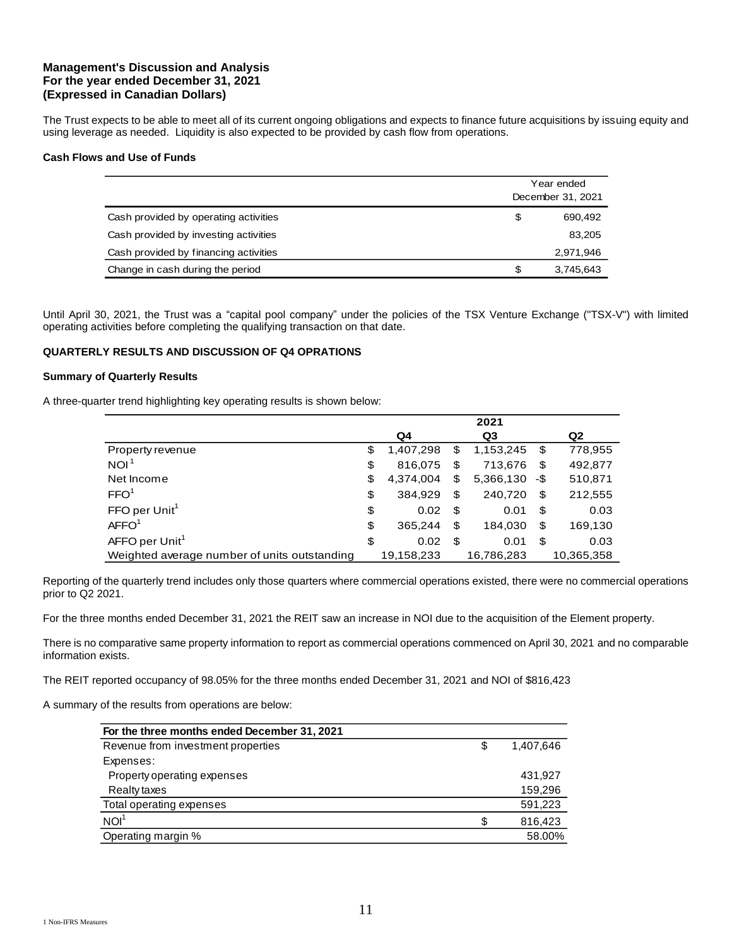The Trust expects to be able to meet all of its current ongoing obligations and expects to finance future acquisitions by issuing equity and using leverage as needed. Liquidity is also expected to be provided by cash flow from operations.

### **Cash Flows and Use of Funds**

|                                       |                 | Year ended<br>December 31, 2021 |  |  |  |
|---------------------------------------|-----------------|---------------------------------|--|--|--|
| Cash provided by operating activities | \$              | 690,492                         |  |  |  |
| Cash provided by investing activities |                 | 83,205                          |  |  |  |
| Cash provided by financing activities |                 | 2,971,946                       |  |  |  |
| Change in cash during the period      | \$<br>3,745,643 |                                 |  |  |  |

Until April 30, 2021, the Trust was a "capital pool company" under the policies of the TSX Venture Exchange ("TSX-V") with limited operating activities before completing the qualifying transaction on that date.

# **QUARTERLY RESULTS AND DISCUSSION OF Q4 OPRATIONS**

#### **Summary of Quarterly Results**

A three-quarter trend highlighting key operating results is shown below:

|                                              |                 |    | 2021       |     |                |
|----------------------------------------------|-----------------|----|------------|-----|----------------|
|                                              | Q4              |    | Q3         |     | Q <sub>2</sub> |
| Property revenue                             | \$<br>1,407,298 | \$ | 1,153,245  | \$  | 778,955        |
| NOI <sup>®</sup>                             | \$<br>816.075   | \$ | 713.676    | \$  | 492,877        |
| Net Income                                   | \$<br>4.374.004 | \$ | 5,366,130  | -\$ | 510,871        |
| FFO <sup>1</sup>                             | \$<br>384.929   | \$ | 240,720    | \$  | 212,555        |
| FFO per Unit <sup>1</sup>                    | \$<br>0.02      | S  | 0.01       | \$  | 0.03           |
| AFFO <sup>1</sup>                            | \$<br>365.244   | \$ | 184,030    | \$  | 169,130        |
| AFFO per Unit <sup>1</sup>                   | \$<br>0.02      | \$ | 0.01       | \$  | 0.03           |
| Weighted average number of units outstanding | 19.158.233      |    | 16.786.283 |     | 10.365.358     |

Reporting of the quarterly trend includes only those quarters where commercial operations existed, there were no commercial operations prior to Q2 2021.

For the three months ended December 31, 2021 the REIT saw an increase in NOI due to the acquisition of the Element property.

There is no comparative same property information to report as commercial operations commenced on April 30, 2021 and no comparable information exists.

The REIT reported occupancy of 98.05% for the three months ended December 31, 2021 and NOI of \$816,423

A summary of the results from operations are below:

| For the three months ended December 31, 2021 |    |           |
|----------------------------------------------|----|-----------|
| Revenue from investment properties           | \$ | 1,407,646 |
| Expenses:                                    |    |           |
| Property operating expenses                  |    | 431,927   |
| Realty taxes                                 |    | 159,296   |
| Total operating expenses                     |    | 591,223   |
| NOI <sup>1</sup>                             | S  | 816,423   |
| Operating margin %                           |    | 58.00%    |
|                                              |    |           |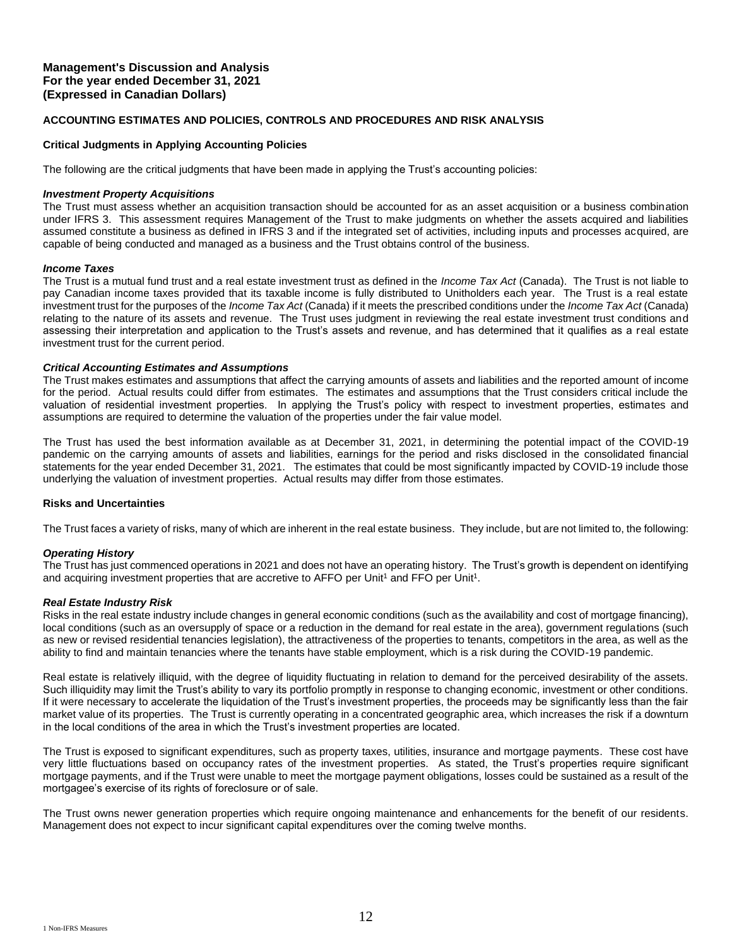### **ACCOUNTING ESTIMATES AND POLICIES, CONTROLS AND PROCEDURES AND RISK ANALYSIS**

### **Critical Judgments in Applying Accounting Policies**

The following are the critical judgments that have been made in applying the Trust's accounting policies:

#### *Investment Property Acquisitions*

The Trust must assess whether an acquisition transaction should be accounted for as an asset acquisition or a business combination under IFRS 3. This assessment requires Management of the Trust to make judgments on whether the assets acquired and liabilities assumed constitute a business as defined in IFRS 3 and if the integrated set of activities, including inputs and processes acquired, are capable of being conducted and managed as a business and the Trust obtains control of the business.

### *Income Taxes*

The Trust is a mutual fund trust and a real estate investment trust as defined in the *Income Tax Act* (Canada). The Trust is not liable to pay Canadian income taxes provided that its taxable income is fully distributed to Unitholders each year. The Trust is a real estate investment trust for the purposes of the *Income Tax Act* (Canada) if it meets the prescribed conditions under the *Income Tax Act* (Canada) relating to the nature of its assets and revenue. The Trust uses judgment in reviewing the real estate investment trust conditions and assessing their interpretation and application to the Trust's assets and revenue, and has determined that it qualifies as a real estate investment trust for the current period.

### *Critical Accounting Estimates and Assumptions*

The Trust makes estimates and assumptions that affect the carrying amounts of assets and liabilities and the reported amount of income for the period. Actual results could differ from estimates. The estimates and assumptions that the Trust considers critical include the valuation of residential investment properties. In applying the Trust's policy with respect to investment properties, estimates and assumptions are required to determine the valuation of the properties under the fair value model.

The Trust has used the best information available as at December 31, 2021, in determining the potential impact of the COVID-19 pandemic on the carrying amounts of assets and liabilities, earnings for the period and risks disclosed in the consolidated financial statements for the year ended December 31, 2021. The estimates that could be most significantly impacted by COVID-19 include those underlying the valuation of investment properties. Actual results may differ from those estimates.

### **Risks and Uncertainties**

The Trust faces a variety of risks, many of which are inherent in the real estate business. They include, but are not limited to, the following:

### *Operating History*

The Trust has just commenced operations in 2021 and does not have an operating history. The Trust's growth is dependent on identifying and acquiring investment properties that are accretive to AFFO per Unit<sup>1</sup> and FFO per Unit<sup>1</sup>.

### *Real Estate Industry Risk*

Risks in the real estate industry include changes in general economic conditions (such as the availability and cost of mortgage financing), local conditions (such as an oversupply of space or a reduction in the demand for real estate in the area), government regulations (such as new or revised residential tenancies legislation), the attractiveness of the properties to tenants, competitors in the area, as well as the ability to find and maintain tenancies where the tenants have stable employment, which is a risk during the COVID-19 pandemic.

Real estate is relatively illiquid, with the degree of liquidity fluctuating in relation to demand for the perceived desirability of the assets. Such illiquidity may limit the Trust's ability to vary its portfolio promptly in response to changing economic, investment or other conditions. If it were necessary to accelerate the liquidation of the Trust's investment properties, the proceeds may be significantly less than the fair market value of its properties. The Trust is currently operating in a concentrated geographic area, which increases the risk if a downturn in the local conditions of the area in which the Trust's investment properties are located.

The Trust is exposed to significant expenditures, such as property taxes, utilities, insurance and mortgage payments. These cost have very little fluctuations based on occupancy rates of the investment properties. As stated, the Trust's properties require significant mortgage payments, and if the Trust were unable to meet the mortgage payment obligations, losses could be sustained as a result of the mortgagee's exercise of its rights of foreclosure or of sale.

The Trust owns newer generation properties which require ongoing maintenance and enhancements for the benefit of our residents. Management does not expect to incur significant capital expenditures over the coming twelve months.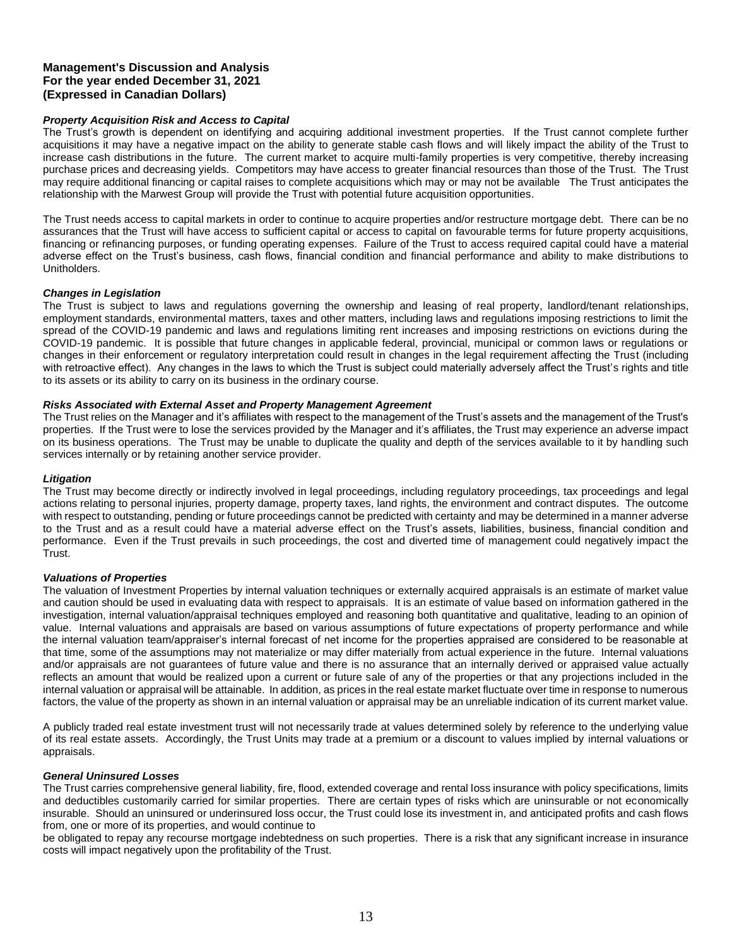### *Property Acquisition Risk and Access to Capital*

The Trust's growth is dependent on identifying and acquiring additional investment properties. If the Trust cannot complete further acquisitions it may have a negative impact on the ability to generate stable cash flows and will likely impact the ability of the Trust to increase cash distributions in the future. The current market to acquire multi-family properties is very competitive, thereby increasing purchase prices and decreasing yields. Competitors may have access to greater financial resources than those of the Trust. The Trust may require additional financing or capital raises to complete acquisitions which may or may not be available The Trust anticipates the relationship with the Marwest Group will provide the Trust with potential future acquisition opportunities.

The Trust needs access to capital markets in order to continue to acquire properties and/or restructure mortgage debt. There can be no assurances that the Trust will have access to sufficient capital or access to capital on favourable terms for future property acquisitions, financing or refinancing purposes, or funding operating expenses. Failure of the Trust to access required capital could have a material adverse effect on the Trust's business, cash flows, financial condition and financial performance and ability to make distributions to Unitholders.

#### *Changes in Legislation*

The Trust is subject to laws and regulations governing the ownership and leasing of real property, landlord/tenant relationships, employment standards, environmental matters, taxes and other matters, including laws and regulations imposing restrictions to limit the spread of the COVID-19 pandemic and laws and regulations limiting rent increases and imposing restrictions on evictions during the COVID-19 pandemic. It is possible that future changes in applicable federal, provincial, municipal or common laws or regulations or changes in their enforcement or regulatory interpretation could result in changes in the legal requirement affecting the Trust (including with retroactive effect). Any changes in the laws to which the Trust is subject could materially adversely affect the Trust's rights and title to its assets or its ability to carry on its business in the ordinary course.

#### *Risks Associated with External Asset and Property Management Agreement*

The Trust relies on the Manager and it's affiliates with respect to the management of the Trust's assets and the management of the Trust's properties. If the Trust were to lose the services provided by the Manager and it's affiliates, the Trust may experience an adverse impact on its business operations. The Trust may be unable to duplicate the quality and depth of the services available to it by handling such services internally or by retaining another service provider.

#### *Litigation*

The Trust may become directly or indirectly involved in legal proceedings, including regulatory proceedings, tax proceedings and legal actions relating to personal injuries, property damage, property taxes, land rights, the environment and contract disputes. The outcome with respect to outstanding, pending or future proceedings cannot be predicted with certainty and may be determined in a manner adverse to the Trust and as a result could have a material adverse effect on the Trust's assets, liabilities, business, financial condition and performance. Even if the Trust prevails in such proceedings, the cost and diverted time of management could negatively impact the Trust.

#### *Valuations of Properties*

The valuation of Investment Properties by internal valuation techniques or externally acquired appraisals is an estimate of market value and caution should be used in evaluating data with respect to appraisals. It is an estimate of value based on information gathered in the investigation, internal valuation/appraisal techniques employed and reasoning both quantitative and qualitative, leading to an opinion of value. Internal valuations and appraisals are based on various assumptions of future expectations of property performance and while the internal valuation team/appraiser's internal forecast of net income for the properties appraised are considered to be reasonable at that time, some of the assumptions may not materialize or may differ materially from actual experience in the future. Internal valuations and/or appraisals are not guarantees of future value and there is no assurance that an internally derived or appraised value actually reflects an amount that would be realized upon a current or future sale of any of the properties or that any projections included in the internal valuation or appraisal will be attainable. In addition, as prices in the real estate market fluctuate over time in response to numerous factors, the value of the property as shown in an internal valuation or appraisal may be an unreliable indication of its current market value.

A publicly traded real estate investment trust will not necessarily trade at values determined solely by reference to the underlying value of its real estate assets. Accordingly, the Trust Units may trade at a premium or a discount to values implied by internal valuations or appraisals.

#### *General Uninsured Losses*

The Trust carries comprehensive general liability, fire, flood, extended coverage and rental loss insurance with policy specifications, limits and deductibles customarily carried for similar properties. There are certain types of risks which are uninsurable or not economically insurable. Should an uninsured or underinsured loss occur, the Trust could lose its investment in, and anticipated profits and cash flows from, one or more of its properties, and would continue to

be obligated to repay any recourse mortgage indebtedness on such properties. There is a risk that any significant increase in insurance costs will impact negatively upon the profitability of the Trust.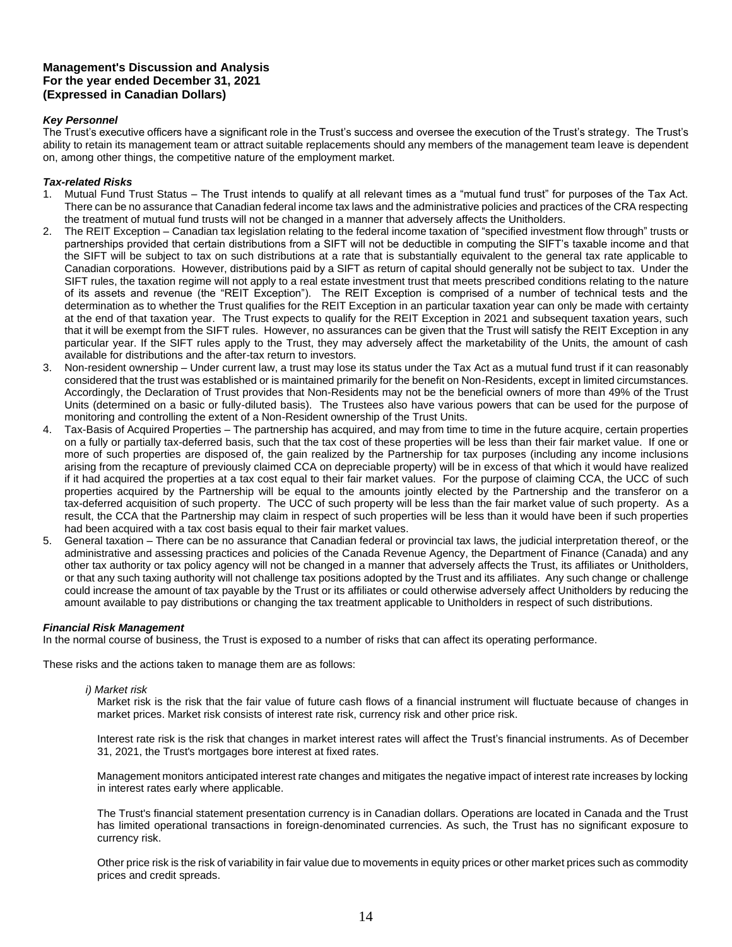## *Key Personnel*

The Trust's executive officers have a significant role in the Trust's success and oversee the execution of the Trust's strategy. The Trust's ability to retain its management team or attract suitable replacements should any members of the management team leave is dependent on, among other things, the competitive nature of the employment market.

### *Tax-related Risks*

- 1. Mutual Fund Trust Status The Trust intends to qualify at all relevant times as a "mutual fund trust" for purposes of the Tax Act. There can be no assurance that Canadian federal income tax laws and the administrative policies and practices of the CRA respecting the treatment of mutual fund trusts will not be changed in a manner that adversely affects the Unitholders.
- 2. The REIT Exception Canadian tax legislation relating to the federal income taxation of "specified investment flow through" trusts or partnerships provided that certain distributions from a SIFT will not be deductible in computing the SIFT's taxable income and that the SIFT will be subject to tax on such distributions at a rate that is substantially equivalent to the general tax rate applicable to Canadian corporations. However, distributions paid by a SIFT as return of capital should generally not be subject to tax. Under the SIFT rules, the taxation regime will not apply to a real estate investment trust that meets prescribed conditions relating to the nature of its assets and revenue (the "REIT Exception"). The REIT Exception is comprised of a number of technical tests and the determination as to whether the Trust qualifies for the REIT Exception in an particular taxation year can only be made with certainty at the end of that taxation year. The Trust expects to qualify for the REIT Exception in 2021 and subsequent taxation years, such that it will be exempt from the SIFT rules. However, no assurances can be given that the Trust will satisfy the REIT Exception in any particular year. If the SIFT rules apply to the Trust, they may adversely affect the marketability of the Units, the amount of cash available for distributions and the after-tax return to investors.
- 3. Non-resident ownership Under current law, a trust may lose its status under the Tax Act as a mutual fund trust if it can reasonably considered that the trust was established or is maintained primarily for the benefit on Non-Residents, except in limited circumstances. Accordingly, the Declaration of Trust provides that Non-Residents may not be the beneficial owners of more than 49% of the Trust Units (determined on a basic or fully-diluted basis). The Trustees also have various powers that can be used for the purpose of monitoring and controlling the extent of a Non-Resident ownership of the Trust Units.
- 4. Tax-Basis of Acquired Properties The partnership has acquired, and may from time to time in the future acquire, certain properties on a fully or partially tax-deferred basis, such that the tax cost of these properties will be less than their fair market value. If one or more of such properties are disposed of, the gain realized by the Partnership for tax purposes (including any income inclusions arising from the recapture of previously claimed CCA on depreciable property) will be in excess of that which it would have realized if it had acquired the properties at a tax cost equal to their fair market values. For the purpose of claiming CCA, the UCC of such properties acquired by the Partnership will be equal to the amounts jointly elected by the Partnership and the transferor on a tax-deferred acquisition of such property. The UCC of such property will be less than the fair market value of such property. As a result, the CCA that the Partnership may claim in respect of such properties will be less than it would have been if such properties had been acquired with a tax cost basis equal to their fair market values.
- 5. General taxation There can be no assurance that Canadian federal or provincial tax laws, the judicial interpretation thereof, or the administrative and assessing practices and policies of the Canada Revenue Agency, the Department of Finance (Canada) and any other tax authority or tax policy agency will not be changed in a manner that adversely affects the Trust, its affiliates or Unitholders, or that any such taxing authority will not challenge tax positions adopted by the Trust and its affiliates. Any such change or challenge could increase the amount of tax payable by the Trust or its affiliates or could otherwise adversely affect Unitholders by reducing the amount available to pay distributions or changing the tax treatment applicable to Unitholders in respect of such distributions.

# *Financial Risk Management*

In the normal course of business, the Trust is exposed to a number of risks that can affect its operating performance.

These risks and the actions taken to manage them are as follows:

### *i) Market risk*

Market risk is the risk that the fair value of future cash flows of a financial instrument will fluctuate because of changes in market prices. Market risk consists of interest rate risk, currency risk and other price risk.

Interest rate risk is the risk that changes in market interest rates will affect the Trust's financial instruments. As of December 31, 2021, the Trust's mortgages bore interest at fixed rates.

Management monitors anticipated interest rate changes and mitigates the negative impact of interest rate increases by locking in interest rates early where applicable.

The Trust's financial statement presentation currency is in Canadian dollars. Operations are located in Canada and the Trust has limited operational transactions in foreign-denominated currencies. As such, the Trust has no significant exposure to currency risk.

Other price risk is the risk of variability in fair value due to movements in equity prices or other market prices such as commodity prices and credit spreads.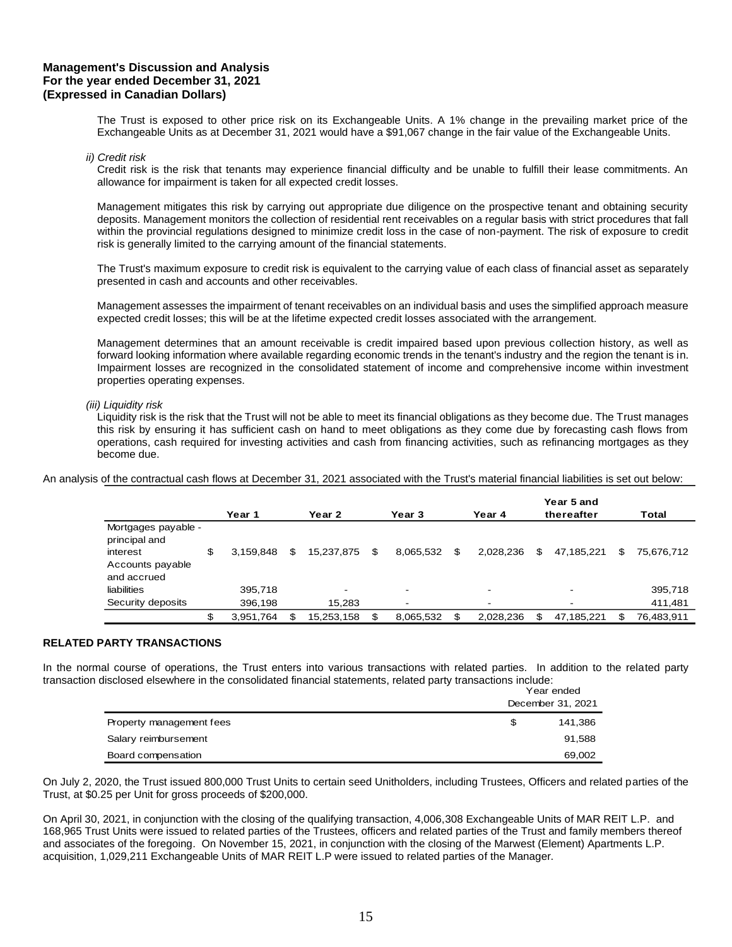The Trust is exposed to other price risk on its Exchangeable Units. A 1% change in the prevailing market price of the Exchangeable Units as at December 31, 2021 would have a \$91,067 change in the fair value of the Exchangeable Units.

#### *ii) Credit risk*

Credit risk is the risk that tenants may experience financial difficulty and be unable to fulfill their lease commitments. An allowance for impairment is taken for all expected credit losses.

Management mitigates this risk by carrying out appropriate due diligence on the prospective tenant and obtaining security deposits. Management monitors the collection of residential rent receivables on a regular basis with strict procedures that fall within the provincial regulations designed to minimize credit loss in the case of non-payment. The risk of exposure to credit risk is generally limited to the carrying amount of the financial statements.

The Trust's maximum exposure to credit risk is equivalent to the carrying value of each class of financial asset as separately presented in cash and accounts and other receivables.

Management assesses the impairment of tenant receivables on an individual basis and uses the simplified approach measure expected credit losses; this will be at the lifetime expected credit losses associated with the arrangement.

Management determines that an amount receivable is credit impaired based upon previous collection history, as well as forward looking information where available regarding economic trends in the tenant's industry and the region the tenant is in. Impairment losses are recognized in the consolidated statement of income and comprehensive income within investment properties operating expenses.

#### *(iii) Liquidity risk*

Liquidity risk is the risk that the Trust will not be able to meet its financial obligations as they become due. The Trust manages this risk by ensuring it has sufficient cash on hand to meet obligations as they come due by forecasting cash flows from operations, cash required for investing activities and cash from financing activities, such as refinancing mortgages as they become due.

An analysis of the contractual cash flows at December 31, 2021 associated with the Trust's material financial liabilities is set out below:

|                                      |   |           |                  |                   |                 | Year 5 and               |     |            |
|--------------------------------------|---|-----------|------------------|-------------------|-----------------|--------------------------|-----|------------|
|                                      |   | Year 1    | Year 2           | Year <sub>3</sub> | Year 4          | thereafter               |     | Total      |
| Mortgages payable -<br>principal and |   |           |                  |                   |                 |                          |     |            |
| interest                             | S | 3.159.848 | \$<br>15.237.875 | \$<br>8.065.532   | \$<br>2.028.236 | \$<br>47.185.221         | \$. | 75,676,712 |
| Accounts payable<br>and accrued      |   |           |                  |                   |                 |                          |     |            |
| liabilities                          |   | 395,718   | -                | -                 | -               | $\overline{\phantom{a}}$ |     | 395,718    |
| Security deposits                    |   | 396,198   | 15,283           |                   |                 | -                        |     | 411,481    |
|                                      |   | 3,951,764 | 15,253,158       | 8.065.532         | 2.028.236       | \$<br>47.185.221         |     | 76,483,911 |

#### **RELATED PARTY TRANSACTIONS**

In the normal course of operations, the Trust enters into various transactions with related parties. In addition to the related party transaction disclosed elsewhere in the consolidated financial statements, related party transactions include:

|                          |   | Year ended<br>December 31, 2021 |  |
|--------------------------|---|---------------------------------|--|
| Property management fees | S | 141.386                         |  |
| Salary reimbursement     |   | 91,588                          |  |
| Board compensation       |   | 69,002                          |  |

On July 2, 2020, the Trust issued 800,000 Trust Units to certain seed Unitholders, including Trustees, Officers and related parties of the Trust, at \$0.25 per Unit for gross proceeds of \$200,000.

On April 30, 2021, in conjunction with the closing of the qualifying transaction, 4,006,308 Exchangeable Units of MAR REIT L.P. and 168,965 Trust Units were issued to related parties of the Trustees, officers and related parties of the Trust and family members thereof and associates of the foregoing. On November 15, 2021, in conjunction with the closing of the Marwest (Element) Apartments L.P. acquisition, 1,029,211 Exchangeable Units of MAR REIT L.P were issued to related parties of the Manager.